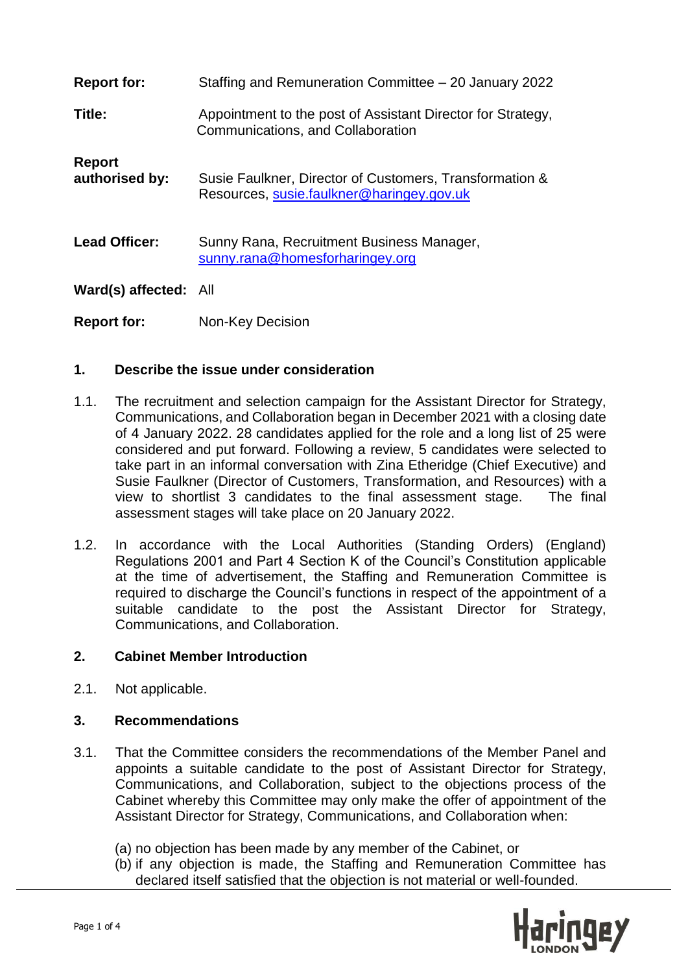| <b>Report for:</b>              | Staffing and Remuneration Committee – 20 January 2022                                                |
|---------------------------------|------------------------------------------------------------------------------------------------------|
| Title:                          | Appointment to the post of Assistant Director for Strategy,<br>Communications, and Collaboration     |
| <b>Report</b><br>authorised by: | Susie Faulkner, Director of Customers, Transformation &<br>Resources, susie.faulkner@haringey.gov.uk |
| <b>Lead Officer:</b>            | Sunny Rana, Recruitment Business Manager,<br>sunny.rana@homesforharingey.org                         |
| Ward(s) affected: All           |                                                                                                      |
| <b>Report for:</b>              | Non-Key Decision                                                                                     |

## **1. Describe the issue under consideration**

- 1.1. The recruitment and selection campaign for the Assistant Director for Strategy, Communications, and Collaboration began in December 2021 with a closing date of 4 January 2022. 28 candidates applied for the role and a long list of 25 were considered and put forward. Following a review, 5 candidates were selected to take part in an informal conversation with Zina Etheridge (Chief Executive) and Susie Faulkner (Director of Customers, Transformation, and Resources) with a view to shortlist 3 candidates to the final assessment stage. The final assessment stages will take place on 20 January 2022.
- 1.2. In accordance with the Local Authorities (Standing Orders) (England) Regulations 2001 and Part 4 Section K of the Council's Constitution applicable at the time of advertisement, the Staffing and Remuneration Committee is required to discharge the Council's functions in respect of the appointment of a suitable candidate to the post the Assistant Director for Strategy, Communications, and Collaboration.

#### **2. Cabinet Member Introduction**

2.1. Not applicable.

#### **3. Recommendations**

- 3.1. That the Committee considers the recommendations of the Member Panel and appoints a suitable candidate to the post of Assistant Director for Strategy, Communications, and Collaboration, subject to the objections process of the Cabinet whereby this Committee may only make the offer of appointment of the Assistant Director for Strategy, Communications, and Collaboration when:
	- (a) no objection has been made by any member of the Cabinet, or
	- (b) if any objection is made, the Staffing and Remuneration Committee has declared itself satisfied that the objection is not material or well-founded.

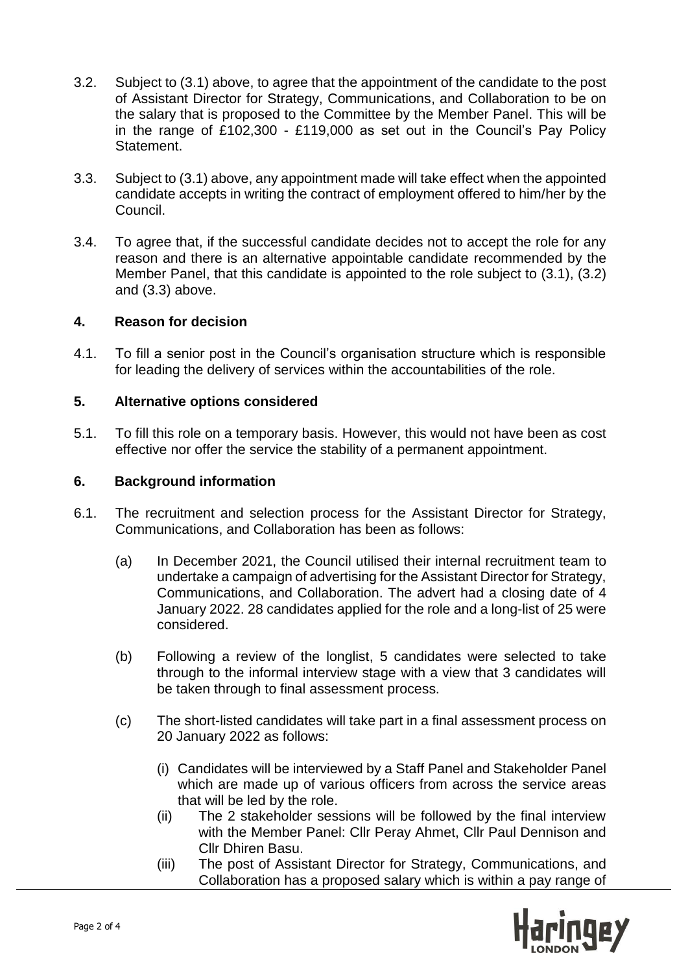- 3.2. Subject to (3.1) above, to agree that the appointment of the candidate to the post of Assistant Director for Strategy, Communications, and Collaboration to be on the salary that is proposed to the Committee by the Member Panel. This will be in the range of £102,300 - £119,000 as set out in the Council's Pay Policy Statement.
- 3.3. Subject to (3.1) above, any appointment made will take effect when the appointed candidate accepts in writing the contract of employment offered to him/her by the Council.
- 3.4. To agree that, if the successful candidate decides not to accept the role for any reason and there is an alternative appointable candidate recommended by the Member Panel, that this candidate is appointed to the role subject to (3.1), (3.2) and (3.3) above.

## **4. Reason for decision**

4.1. To fill a senior post in the Council's organisation structure which is responsible for leading the delivery of services within the accountabilities of the role.

## **5. Alternative options considered**

5.1. To fill this role on a temporary basis. However, this would not have been as cost effective nor offer the service the stability of a permanent appointment.

## **6. Background information**

- 6.1. The recruitment and selection process for the Assistant Director for Strategy, Communications, and Collaboration has been as follows:
	- (a) In December 2021, the Council utilised their internal recruitment team to undertake a campaign of advertising for the Assistant Director for Strategy, Communications, and Collaboration. The advert had a closing date of 4 January 2022. 28 candidates applied for the role and a long-list of 25 were considered.
	- (b) Following a review of the longlist, 5 candidates were selected to take through to the informal interview stage with a view that 3 candidates will be taken through to final assessment process.
	- (c) The short-listed candidates will take part in a final assessment process on 20 January 2022 as follows:
		- (i) Candidates will be interviewed by a Staff Panel and Stakeholder Panel which are made up of various officers from across the service areas that will be led by the role.
		- (ii) The 2 stakeholder sessions will be followed by the final interview with the Member Panel: Cllr Peray Ahmet, Cllr Paul Dennison and Cllr Dhiren Basu.
		- (iii) The post of Assistant Director for Strategy, Communications, and Collaboration has a proposed salary which is within a pay range of

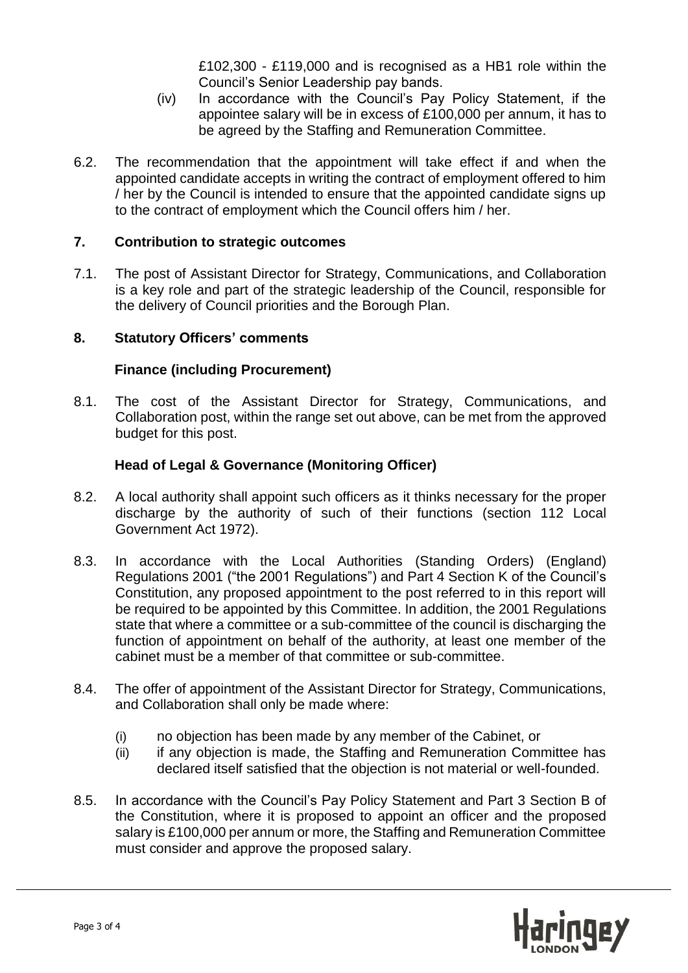£102,300 - £119,000 and is recognised as a HB1 role within the Council's Senior Leadership pay bands.

- (iv) In accordance with the Council's Pay Policy Statement, if the appointee salary will be in excess of £100,000 per annum, it has to be agreed by the Staffing and Remuneration Committee.
- 6.2. The recommendation that the appointment will take effect if and when the appointed candidate accepts in writing the contract of employment offered to him / her by the Council is intended to ensure that the appointed candidate signs up to the contract of employment which the Council offers him / her.

## **7. Contribution to strategic outcomes**

7.1. The post of Assistant Director for Strategy, Communications, and Collaboration is a key role and part of the strategic leadership of the Council, responsible for the delivery of Council priorities and the Borough Plan.

## **8. Statutory Officers' comments**

## **Finance (including Procurement)**

8.1. The cost of the Assistant Director for Strategy, Communications, and Collaboration post, within the range set out above, can be met from the approved budget for this post.

## **Head of Legal & Governance (Monitoring Officer)**

- 8.2. A local authority shall appoint such officers as it thinks necessary for the proper discharge by the authority of such of their functions (section 112 Local Government Act 1972).
- 8.3. In accordance with the Local Authorities (Standing Orders) (England) Regulations 2001 ("the 2001 Regulations") and Part 4 Section K of the Council's Constitution, any proposed appointment to the post referred to in this report will be required to be appointed by this Committee. In addition, the 2001 Regulations state that where a committee or a sub-committee of the council is discharging the function of appointment on behalf of the authority, at least one member of the cabinet must be a member of that committee or sub-committee.
- 8.4. The offer of appointment of the Assistant Director for Strategy, Communications, and Collaboration shall only be made where:
	- (i) no objection has been made by any member of the Cabinet, or
	- (ii) if any objection is made, the Staffing and Remuneration Committee has declared itself satisfied that the objection is not material or well-founded.
- 8.5. In accordance with the Council's Pay Policy Statement and Part 3 Section B of the Constitution, where it is proposed to appoint an officer and the proposed salary is £100,000 per annum or more, the Staffing and Remuneration Committee must consider and approve the proposed salary.